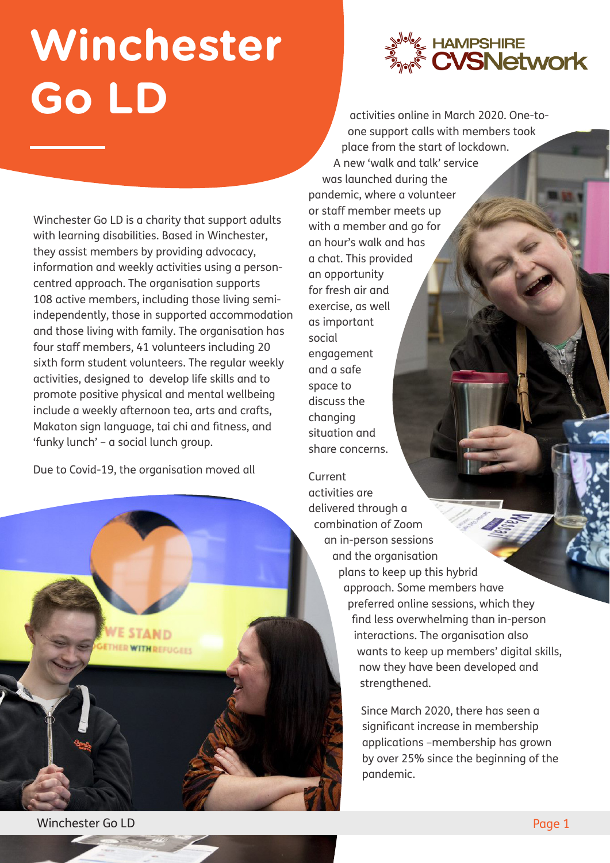## **Winchester Go LD**

Winchester Go LD is a charity that support adults with learning disabilities. Based in Winchester, they assist members by providing advocacy, information and weekly activities using a personcentred approach. The organisation supports 108 active members, including those living semiindependently, those in supported accommodation and those living with family. The organisation has four staff members, 41 volunteers including 20 sixth form student volunteers. The regular weekly activities, designed to develop life skills and to promote positive physical and mental wellbeing include a weekly afternoon tea, arts and crafts, Makaton sign language, tai chi and fitness, and 'funky lunch' – a social lunch group.

Due to Covid-19, the organisation moved all



activities online in March 2020. One-toone support calls with members took place from the start of lockdown. A new 'walk and talk' service was launched during the pandemic, where a volunteer or staff member meets up with a member and go for an hour's walk and has a chat. This provided an opportunity for fresh air and exercise, as well as important social engagement and a safe space to discuss the changing situation and share concerns.

Current activities are delivered through a combination of Zoom an in-person sessions and the organisation plans to keep up this hybrid approach. Some members have preferred online sessions, which they find less overwhelming than in-person interactions. The organisation also wants to keep up members' digital skills, now they have been developed and strengthened.

> Since March 2020, there has seen a significant increase in membership applications –membership has grown by over 25% since the beginning of the pandemic.

**HER WITH REFUGEES** 

Winchester Go LD Page 1